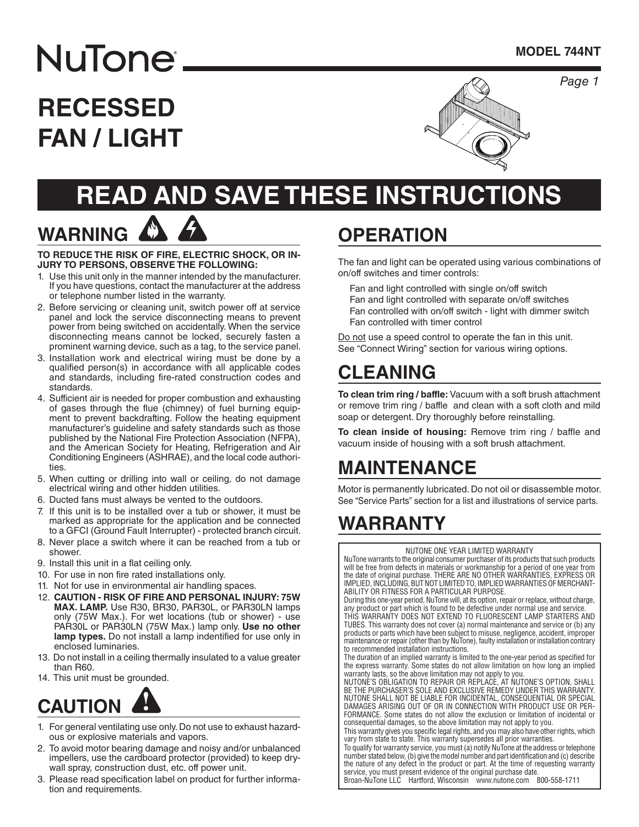*Page 1*

# **RECESSED FAN / LIGHT**

**NuTone** 

**WARNING**



# **READ AND SAVE THESE INSTRUCTIONS**

#### **TO REDUCE THE RISK OF FIRE, ELECTRIC SHOCK, OR IN-JURY TO PERSONS, OBSERVE THE FOLLOWING:**

- 1. Use this unit only in the manner intended by the manufacturer. If you have questions, contact the manufacturer at the address or telephone number listed in the warranty.
- 2. Before servicing or cleaning unit, switch power off at service panel and lock the service disconnecting means to prevent power from being switched on accidentally. When the service disconnecting means cannot be locked, securely fasten a prominent warning device, such as a tag, to the service panel.
- 3. Installation work and electrical wiring must be done by a qualified person(s) in accordance with all applicable codes and standards, including fire-rated construction codes and standards.
- 4. Sufficient air is needed for proper combustion and exhausting of gases through the flue (chimney) of fuel burning equipment to prevent backdrafting. Follow the heating equipment manufacturer's guideline and safety standards such as those published by the National Fire Protection Association (NFPA), and the American Society for Heating, Refrigeration and Air Conditioning Engineers (ASHRAE), and the local code authorities.
- 5. When cutting or drilling into wall or ceiling, do not damage electrical wiring and other hidden utilities.
- 6. Ducted fans must always be vented to the outdoors.
- 7. If this unit is to be installed over a tub or shower, it must be marked as appropriate for the application and be connected to a GFCI (Ground Fault Interrupter) - protected branch circuit.
- 8. Never place a switch where it can be reached from a tub or shower.
- 9. Install this unit in a flat ceiling only.
- 10. For use in non fire rated installations only.
- 11. Not for use in environmental air handling spaces.
- 12. **CAUTION RISK OF FIRE AND PERSONAL INJURY: 75W MAX. LAMP.** Use R30, BR30, PAR30L, or PAR30LN lamps only (75W Max.). For wet locations (tub or shower) - use PAR30L or PAR30LN (75W Max.) lamp only. Use no other **lamp types.** Do not install a lamp indentified for use only in enclosed luminaries.
- 13. Do not install in a ceiling thermally insulated to a value greater than R60.
- 14. This unit must be grounded.



- 1. For general ventilating use only. Do not use to exhaust hazardous or explosive materials and vapors.
- 2. To avoid motor bearing damage and noisy and/or unbalanced impellers, use the cardboard protector (provided) to keep drywall spray, construction dust, etc. off power unit.
- 3. Please read specification label on product for further information and requirements.

# **OPERATION**

The fan and light can be operated using various combinations of on/off switches and timer controls:

Fan and light controlled with single on/off switch Fan and light controlled with separate on/off switches Fan controlled with on/off switch - light with dimmer switch Fan controlled with timer control

Do not use a speed control to operate the fan in this unit. See "Connect Wiring" section for various wiring options.

## **CLEANING**

**To clean trim ring / baffle:** Vacuum with a soft brush attachment or remove trim ring / baffle and clean with a soft cloth and mild soap or detergent. Dry thoroughly before reinstalling.

**To clean inside of housing:** Remove trim ring / baffle and vacuum inside of housing with a soft brush attachment.

## **MAINTENANCE**

Motor is permanently lubricated. Do not oil or disassemble motor. See "Service Parts" section for a list and illustrations of service parts.

## **WARRANTY**

NUTONE ONE YEAR LIMITED WARRANTY

NuTone warrants to the original consumer purchaser of its products that such products will be free from defects in materials or workmanship for a period of one year from the date of original purchase. THERE ARE NO OTHER WARRANTIES, EXPRESS OR IMPLIED, INCLUDING, BUT NOT LIMITED TO, IMPLIED WARRANTIES OF MERCHANT-ABILITY OR FITNESS FOR A PARTICULAR PURPOSE.

During this one-year period, NuTone will, at its option, repair or replace, without charge, any product or part which is found to be defective under normal use and service.

THIS WARRANTY DOES NOT EXTEND TO FLUORESCENT LAMP STARTERS AND TUBES. This warranty does not cover (a) normal maintenance and service or (b) any products or parts which have been subject to misuse, negligence, accident, improper maintenance or repair (other than by NuTone), faulty installation or installation contrary to recommended installation instructions.

The duration of an implied warranty is limited to the one-year period as specified for the express warranty. Some states do not allow limitation on how long an implied warranty lasts, so the above limitation may not apply to you.

NUTONE'S OBLIGATION TO REPAIR OR REPLACE, AT NUTONE'S OPTION, SHALL BE THE PURCHASER'S SOLE AND EXCLUSIVE REMEDY UNDER THIS WARRANTY. NUTONE SHALL NOT BE LIABLE FOR INCIDENTAL, CONSEQUENTIAL OR SPECIAL DAMAGES ARISING OUT OF OR IN CONNECTION WITH PRODUCT USE OR PER-FORMANCE. Some states do not allow the exclusion or limitation of incidental or consequential damages, so the above limitation may not apply to you.

This warranty gives you specific legal rights, and you may also have other rights, which vary from state to state. This warranty supersedes all prior warranties.

To qualify for warranty service, you must (a) notify NuTone at the address or telephone number stated below, (b) give the model number and part identification and (c) describe the nature of any defect in the product or part. At the time of requesting warranty service, you must present evidence of the original purchase date.

Broan-NuTone LLC Hartford, Wisconsin www.nutone.com 800-558-1711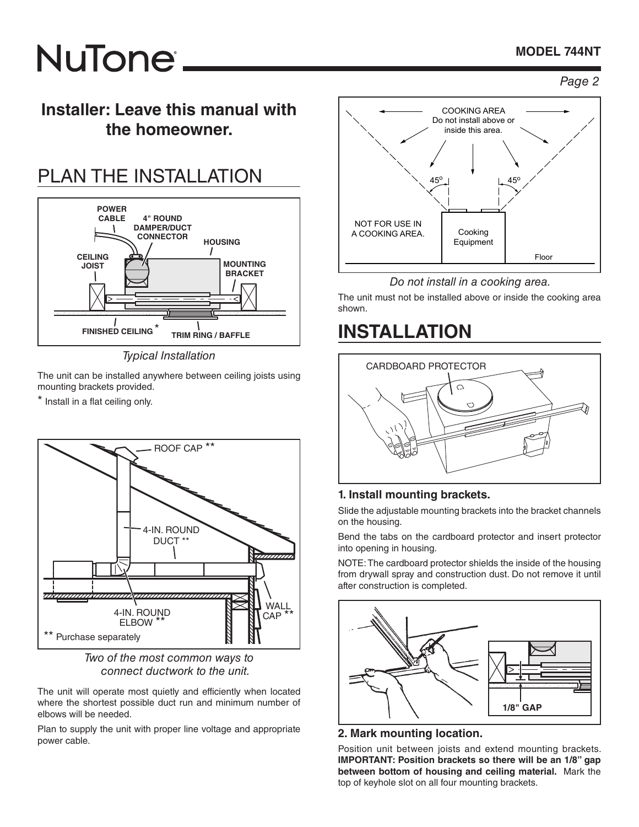### **MODEL 744NT**

# **NuTone**

### *Page 2*

### **Installer: Leave this manual with the homeowner.**

# PLAN THE INSTALLATION



*Typical Installation*

The unit can be installed anywhere between ceiling joists using mounting brackets provided.

\* Install in a flat ceiling only.



*Two of the most common ways to connect ductwork to the unit.*

The unit will operate most quietly and efficiently when located where the shortest possible duct run and minimum number of elbows will be needed.

Plan to supply the unit with proper line voltage and appropriate power cable.



#### *Do not install in a cooking area.*

The unit must not be installed above or inside the cooking area shown.

### **INSTALLATION**



### **1. Install mounting brackets.**

Slide the adjustable mounting brackets into the bracket channels on the housing.

Bend the tabs on the cardboard protector and insert protector into opening in housing.

NOTE: The cardboard protector shields the inside of the housing from drywall spray and construction dust. Do not remove it until after construction is completed.



#### **2. Mark mounting location.**

Position unit between joists and extend mounting brackets. **IMPORTANT: Position brackets so there will be an 1/8" gap between bottom of housing and ceiling material.** Mark the top of keyhole slot on all four mounting brackets.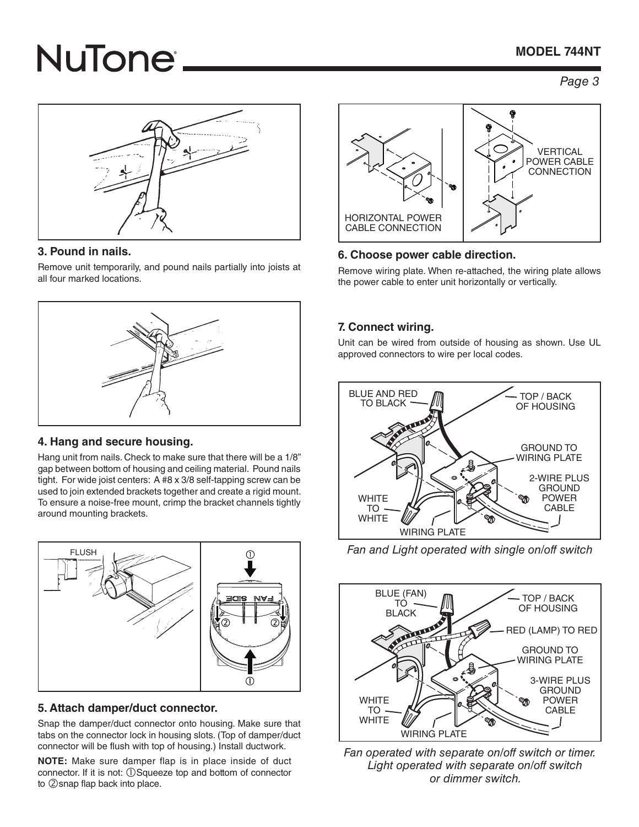### **MODEL 744NT**

# **NuTone**

*Page 3*



### **3. Pound in nails.**

Remove unit temporarily, and pound nails partially into joists at all four marked locations.



### **4. Hang and secure housing.**

Hang unit from nails. Check to make sure that there will be a 1/8" gap between bottom of housing and ceiling material. Pound nails tight. For wide joist centers: A #8 x 3/8 self-tapping screw can be used to join extended brackets together and create a rigid mount. To ensure a noise-free mount, crimp the bracket channels tightly around mounting brackets.



### **5. Attach damper/duct connector.**

Snap the damper/duct connector onto housing. Make sure that tabs on the connector lock in housing slots. (Top of damper/duct connector will be flush with top of housing.) Install ductwork.

**NOTE:** Make sure damper flap is in place inside of duct connector. If it is not: ①Squeeze top and bottom of connector to 2 snap flap back into place.



### **6. Choose power cable direction.**

Remove wiring plate. When re-attached, the wiring plate allows the power cable to enter unit horizontally or vertically.

### **7. Connect wiring.**

Unit can be wired from outside of housing as shown. Use UL approved connectors to wire per local codes.



*Fan and Light operated with single on/off switch*



*Fan operated with separate on/off switch or timer. Light operated with separate on/off switch or dimmer switch.*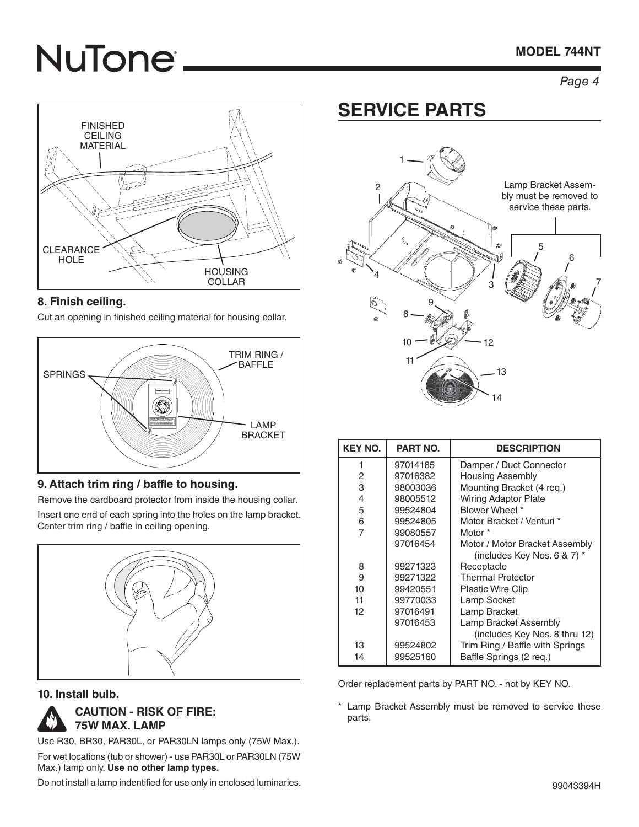### **MODEL 744NT**

# **NuTone**

### *Page 4*



### **8. Finish ceiling.**

Cut an opening in finished ceiling material for housing collar.



### **9. Attach trim ring / baffle to housing.**

Remove the cardboard protector from inside the housing collar.

Insert one end of each spring into the holes on the lamp bracket. Center trim ring / baffle in ceiling opening.



### **10. Install bulb.**



Use R30, BR30, PAR30L, or PAR30LN lamps only (75W Max.). For wet locations (tub or shower) - use PAR30L or PAR30LN (75W Max.) lamp only. **Use no other lamp types.**

Do not install a lamp indentified for use only in enclosed luminaries.

## **SERVICE PARTS**



| <b>KEY NO.</b> | <b>PART NO.</b> | <b>DESCRIPTION</b>              |
|----------------|-----------------|---------------------------------|
| 1              | 97014185        | Damper / Duct Connector         |
| 2              | 97016382        | <b>Housing Assembly</b>         |
| 3              | 98003036        | Mounting Bracket (4 req.)       |
| 4              | 98005512        | <b>Wiring Adaptor Plate</b>     |
| 5              | 99524804        | Blower Wheel *                  |
| 6              | 99524805        | Motor Bracket / Venturi *       |
| $\overline{7}$ | 99080557        | Motor *                         |
|                | 97016454        | Motor / Motor Bracket Assembly  |
|                |                 | (includes Key Nos. 6 & 7) $*$   |
| 8              | 99271323        | Receptacle                      |
| 9              | 99271322        | <b>Thermal Protector</b>        |
| 10             | 99420551        | <b>Plastic Wire Clip</b>        |
| 11             | 99770033        | Lamp Socket                     |
| 12             | 97016491        | Lamp Bracket                    |
|                | 97016453        | Lamp Bracket Assembly           |
|                |                 | (includes Key Nos. 8 thru 12)   |
| 13             | 99524802        | Trim Ring / Baffle with Springs |
| 14             | 99525160        | Baffle Springs (2 req.)         |

Order replacement parts by PART NO. - not by KEY NO.

\* Lamp Bracket Assembly must be removed to service these parts.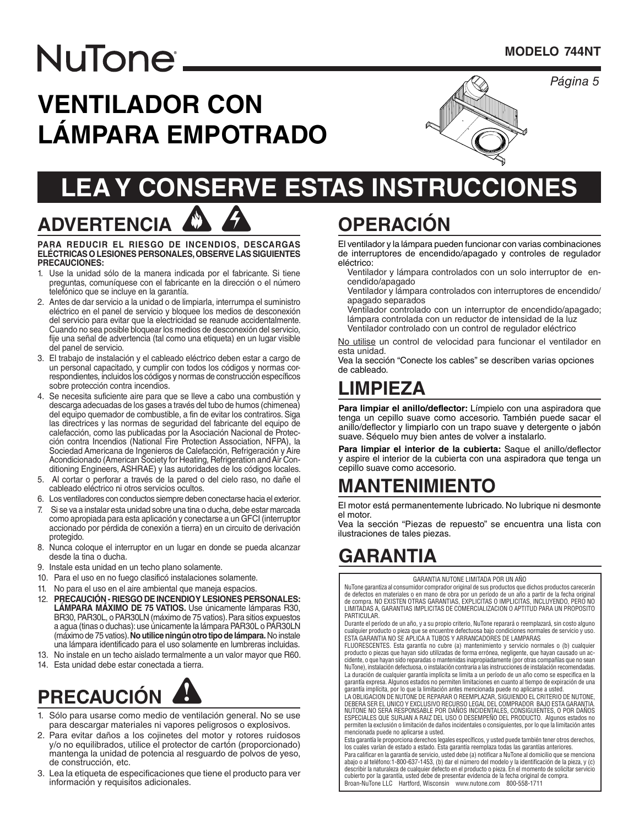*Página* 5

# NuTone.

# **VENTILADOR CON LÁMPARA EMPOTRADO**



# **LEA Y CONSERVE ESTAS INSTRUCCIONES**

### **ADVERTENCIA PARA REDUCIR EL RIESGO DE INCENDIOS, DESCARGAS ELÉCTRICAS O LESIONES PERSONALES, OBSERVE LAS SIGUIENTES**

- **PRECAUCIONES:** 1. Use la unidad sólo de la manera indicada por el fabricante. Si tiene preguntas, comuníquese con el fabricante en la dirección o el número telefónico que se incluye en la garantía.
- 2. Antes de dar servicio a la unidad o de limpiarla, interrumpa el suministro eléctrico en el panel de servicio y bloquee los medios de desconexión del servicio para evitar que la electricidad se reanude accidentalmente. Cuando no sea posible bloquear los medios de desconexión del servicio, fije una señal de advertencia (tal como una etiqueta) en un lugar visible del panel de servicio.
- 3. El trabajo de instalación y el cableado eléctrico deben estar a cargo de un personal capacitado, y cumplir con todos los códigos y normas correspondientes, incluidos los códigos y normas de construcción específicos sobre protección contra incendios.
- 4. Se necesita suficiente aire para que se lleve a cabo una combustión y descarga adecuadas de los gases a través del tubo de humos (chimenea) del equipo quemador de combustible, a fin de evitar los contratiros. Siga las directrices y las normas de seguridad del fabricante del equipo de calefacción, como las publicadas por la Asociación Nacional de Protección contra Incendios (National Fire Protection Association, NFPA), la Sociedad Americana de Ingenieros de Calefacción, Refrigeración y Aire Acondicionado (American Society for Heating, Refrigeration and Air Conditioning Engineers, ASHRAE) y las autoridades de los códigos locales.
- 5. Al cortar o perforar a través de la pared o del cielo raso, no dañe el cableado eléctrico ni otros servicios ocultos.
- 6. Los ventiladores con conductos siempre deben conectarse hacia el exterior.
- 7. Si se va a instalar esta unidad sobre una tina o ducha, debe estar marcada como apropiada para esta aplicación y conectarse a un GFCI (interruptor accionado por pérdida de conexión a tierra) en un circuito de derivación protegido.
- 8. Nunca coloque el interruptor en un lugar en donde se pueda alcanzar desde la tina o ducha.
- 9. Instale esta unidad en un techo plano solamente.
- 10. Para el uso en no fuego clasificó instalaciones solamente.
- 11. No para el uso en el aire ambiental que maneja espacios.
- 12. **PRECAUCIÓN RIESGO DE INCENDIO Y LESIONES PERSONALES: LÁMPARA MÁXIMO DE 75 VATIOS.** Use únicamente lámparas R30, BR30, PAR30L, o PAR30LN (máximo de 75 vatios). Para sitios expuestos a agua (tinas o duchas): use únicamente la lámpara PAR30L o PAR30LN (máximo de 75 vatios). **No utilice ningún otro tipo de lámpara.** No instale una lámpara identificado para el uso solamente en lumbreras incluidas.
- 13. No instale en un techo aislado termalmente a un valor mayor que R60.
- 14. Esta unidad debe estar conectada a tierra.



- 1. Sólo para usarse como medio de ventilación general. No se use para descargar materiales ni vapores peligrosos o explosivos.
- 2. Para evitar daños a los cojinetes del motor y rotores ruidosos y/o no equilibrados, utilice el protector de cartón (proporcionado) mantenga la unidad de potencia al resguardo de polvos de yeso, de construcción, etc.
- 3. Lea la etiqueta de especificaciones que tiene el producto para ver información y requisitos adicionales.

# **OPERACIÓN**

El ventilador y la lámpara pueden funcionar con varias combinaciones de interruptores de encendido/apagado y controles de regulador eléctrico:

- Ventilador y lámpara controlados con un solo interruptor de encendido/apagado
- Ventilador y lámpara controlados con interruptores de encendido/ apagado separados
- Ventilador controlado con un interruptor de encendido/apagado; lámpara controlada con un reductor de intensidad de la luz Ventilador controlado con un control de regulador eléctrico

No utilise un control de velocidad para funcionar el ventilador en esta unidad.

Vea la sección "Conecte los cables" se describen varias opciones de cableado.

## **LIMPIEZA**

**Para limpiar el anillo/deflector:** Límpielo con una aspiradora que tenga un cepillo suave como accesorio. También puede sacar el anillo/deflector y limpiarlo con un trapo suave y detergente o jabón suave. Séquelo muy bien antes de volver a instalarlo.

**Para limpiar el interior de la cubierta:** Saque el anillo/deflector y aspire el interior de la cubierta con una aspiradora que tenga un cepillo suave como accesorio.

### **MANTENIMIENTO**

El motor está permanentemente lubricado. No lubrique ni desmonte el motor.

Vea la sección "Piezas de repuesto" se encuentra una lista con ilustraciones de tales piezas.

### **GARANTIA**

GARANTIA NUTONE LIMITADA POR UN AÑO

NuTone garantiza al consumidor comprador original de sus productos que dichos productos carecerán de defectos en materiales o en mano de obra por un período de un año a partir de la fecha original de compra. NO EXISTEN OTRAS GARANTIAS, EXPLICITAS O IMPLICITAS, INCLUYENDO, PERO NO LIMITADAS A, GARANTIAS IMPLICITAS DE COMERCIALIZACION O APTITUD PARA UN PROPOSITO PARTICULAR.

Durante el período de un año, y a su propio criterio, NuTone reparará o reemplazará, sin costo alguno cualquier producto o pieza que se encuentre defectuosa bajo condiciones normales de servicio y uso. ESTA GARANTIA NO SE APLICA A TUBOS Y ARRANCADORES DE LAMPARAS

FLUORESCENTES. Esta garantía no cubre (a) mantenimiento y servicio normales o (b) cualquier producto o piezas que hayan sido utilizadas de forma errónea, negligente, que hayan causado un accidente, o que hayan sido reparadas o mantenidas inapropiadamente (por otras compañías que no sean NuTone), instalación defectuosa, o instalación contraria a las instrucciones de instalación recomendadas. La duración de cualquier garantía implícita se limita a un período de un año como se especifica en la garantía expresa. Algunos estados no permiten limitaciones en cuanto al tiempo de expiración de una garantía implícita, por lo que la limitación antes mencionada puede no aplicarse a usted.

LA OBLIGACION DE NUTONE DE REPARAR O REEMPLAZAR, SIGUIENDO EL CRITERIO DE NUTONE,<br>DEBERA SER EL UNICO Y EXCLUSIVO RECURSO LEGAL DEL COMPRADOR BAJO ESTA GARANTIA. NUTONE NO SERA RESPONSABLE POR DANOS INCIDENTALES, CONSIGUIENTES, O POR DANOS<br>ESPECIALES QUE SURJAN A RAIZ DEL USO O DESEMPEÑO DEL PRODUCTO. Algunos estados no permiten la exclusión o limitación de daños incidentales o consiguientes, por lo que la limitación antes mencionada puede no aplicarse a usted.

Esta garantía le proporciona derechos legales específicos, y usted puede también tener otros derechos,<br>los cuales varían de estado a estado. Esta garantía reemplaza todas las garantías anteriores.

Para calificar en la garantía de servicio, usted debe (a) notificar a NuTone al domicilio que se menciona abajo o al teléfono:1-800-637-1453, (b) dar el número del modelo y la identificación de la pieza, y (c) describir la naturaleza de cualquier defecto en el producto o pieza. En el momento de solicitar servicio cubierto por la garantía, usted debe de presentar evidencia de la fecha original de compra. Broan-NuTone LLC Hartford, Wisconsin www.nutone.com 800-558-1711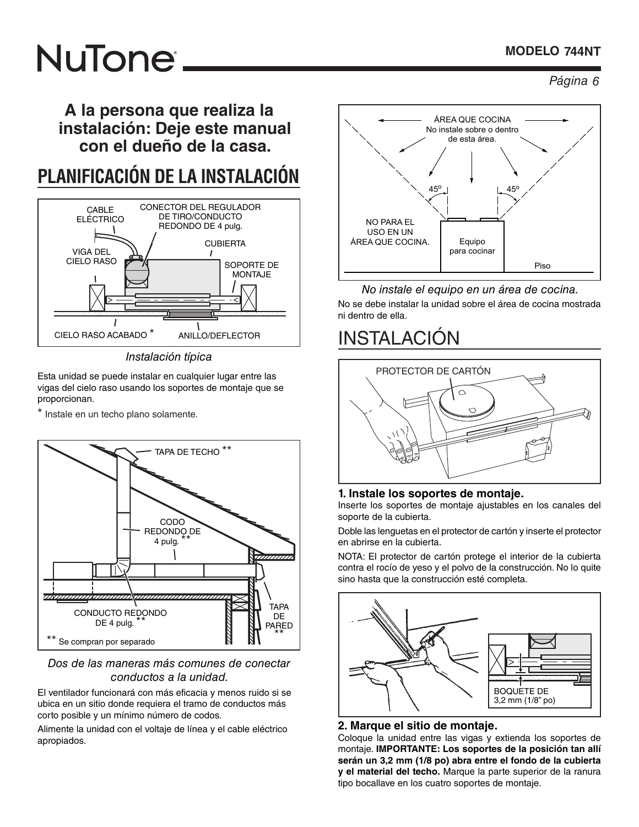### **MODELO 744NT**

# **NuTone®**

*Página 6* 

**A la persona que realiza la instalación: Deje este manual con el dueño de la casa.**

# **PLANIFICACIÓN DE LA INSTALACIÓN**



*Instalación típica*

Esta unidad se puede instalar en cualquier lugar entre las vigas del cielo raso usando los soportes de montaje que se proporcionan.

Instale en un techo plano solamente.



### *Dos de las maneras más comunes de conectar conductos a la unidad.*

El ventilador funcionará con más eficacia y menos ruido si se ubica en un sitio donde requiera el tramo de conductos más corto posible y un mínimo número de codos.

Alimente la unidad con el voltaje de línea y el cable eléctrico apropiados.



#### *No instale el equipo en un área de cocina.*

No se debe instalar la unidad sobre el área de cocina mostrada ni dentro de ella.

## INSTALACIÓN



### **1. Instale los soportes de montaje.**

Inserte los soportes de montaje ajustables en los canales del soporte de la cubierta.

Doble las lenguetas en el protector de cartón y inserte el protector en abrirse en la cubierta.

NOTA: El protector de cartón protege el interior de la cubierta contra el rocío de yeso y el polvo de la construcción. No lo quite sino hasta que la construcción esté completa.



### **2. Marque el sitio de montaje.**

Coloque la unidad entre las vigas y extienda los soportes de montaje. **IMPORTANTE: Los soportes de la posición tan allí serán un 3,2 mm (1/8 po) abra entre el fondo de la cubierta y el material del techo.** Marque la parte superior de la ranura tipo bocallave en los cuatro soportes de montaje.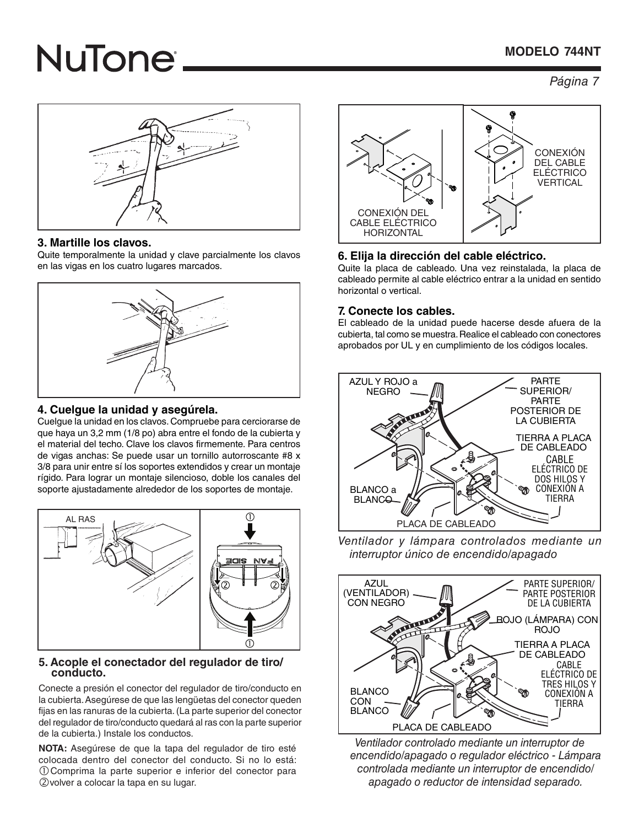### **MODELO 744NT**

# **NuTone**

*Página* 7



### **3. Martille los clavos.**

Quite temporalmente la unidad y clave parcialmente los clavos en las vigas en los cuatro lugares marcados.



### **4. Cuelgue la unidad y asegúrela.**

Cuelgue la unidad en los clavos. Compruebe para cerciorarse de que haya un 3,2 mm (1/8 po) abra entre el fondo de la cubierta y el material del techo. Clave los clavos firmemente. Para centros de vigas anchas: Se puede usar un tornillo autorroscante #8 x 3/8 para unir entre sí los soportes extendidos y crear un montaje rígido. Para lograr un montaje silencioso, doble los canales del soporte ajustadamente alrededor de los soportes de montaje.



# **5. Acople el conectador del regulador de tiro/ conducto.**

Conecte a presión el conector del regulador de tiro/conducto en la cubierta. Asegúrese de que las lengüetas del conector queden fijas en las ranuras de la cubierta. (La parte superior del conector del regulador de tiro/conducto quedará al ras con la parte superior de la cubierta.) Instale los conductos.

**NOTA:** Asegúrese de que la tapa del regulador de tiro esté colocada dentro del conector del conducto. Si no lo está: Comprima la parte superior e inferior del conector para volver a colocar la tapa en su lugar.



### **6. Elija la dirección del cable eléctrico.**

Quite la placa de cableado. Una vez reinstalada, la placa de cableado permite al cable eléctrico entrar a la unidad en sentido horizontal o vertical.

### **7. Conecte los cables.**

El cableado de la unidad puede hacerse desde afuera de la cubierta, tal como se muestra. Realice el cableado con conectores aprobados por UL y en cumplimiento de los códigos locales.



*Ventilador y lámpara controlados mediante un interruptor único de encendido/apagado* 



*Ventilador controlado mediante un interruptor de encendido/apagado o regulador eléctrico - Lámpara controlada mediante un interruptor de encendido/ apagado o reductor de intensidad separado.*